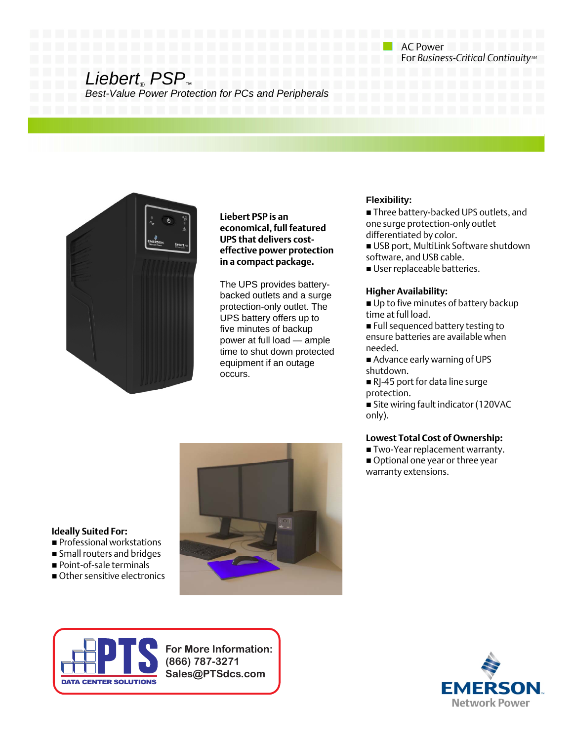# *Liebert® PSP™*

*Best-Value Power Protection for PCs and Peripherals Value Power Protection for PCs and*



**Liebert PSP is an economical, full featured UPS that delivers costeffective power protection in a compact package.** 

filme to shut down protected<br>equipment if an outage The UPS provides batterybacked outlets and a surge protection-only outlet. The UPS battery offers up to five minutes of backup power at full load — ample equipment if an outage occurs.

## **Flexibility:**

 Three battery-backed UPS outlets, and one surge protection-only outlet differentiated by color.

 USB port, MultiLink Software shutdown software, and USB cable.

User replaceable batteries.

AC Power

For *Business-Critical Continuity™*

## **Higher Availability:**

Up to five minutes of battery backup time at full load.

**Full sequenced battery testing to** ensure batteries are available when needed.

 Advance early warning of UPS shutdown

RJ-45 port for data line surge protection.

 Site wiring fault indicator (120VAC only).

# **Lowest Total Cost of Ownership:**

■ Two-Year replacement warranty. Optional one year or three year warranty extensions.



### **Ideally Suited For:**

- Professional workstations
- Small routers and bridges
- Point-of-sale terminals
- Other sensitive electronics



**For More Information: (866) 787-3271 Sales@PTSdcs.com**